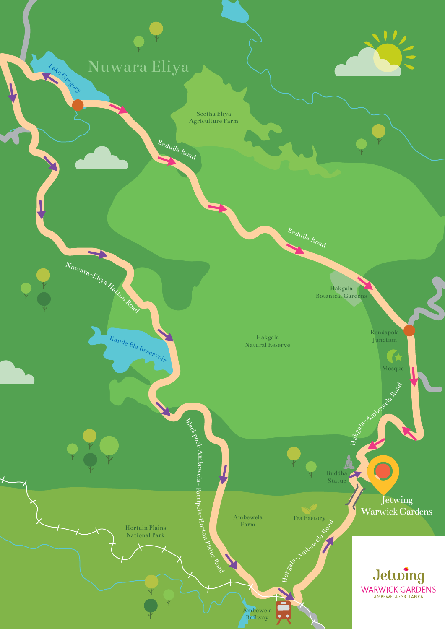